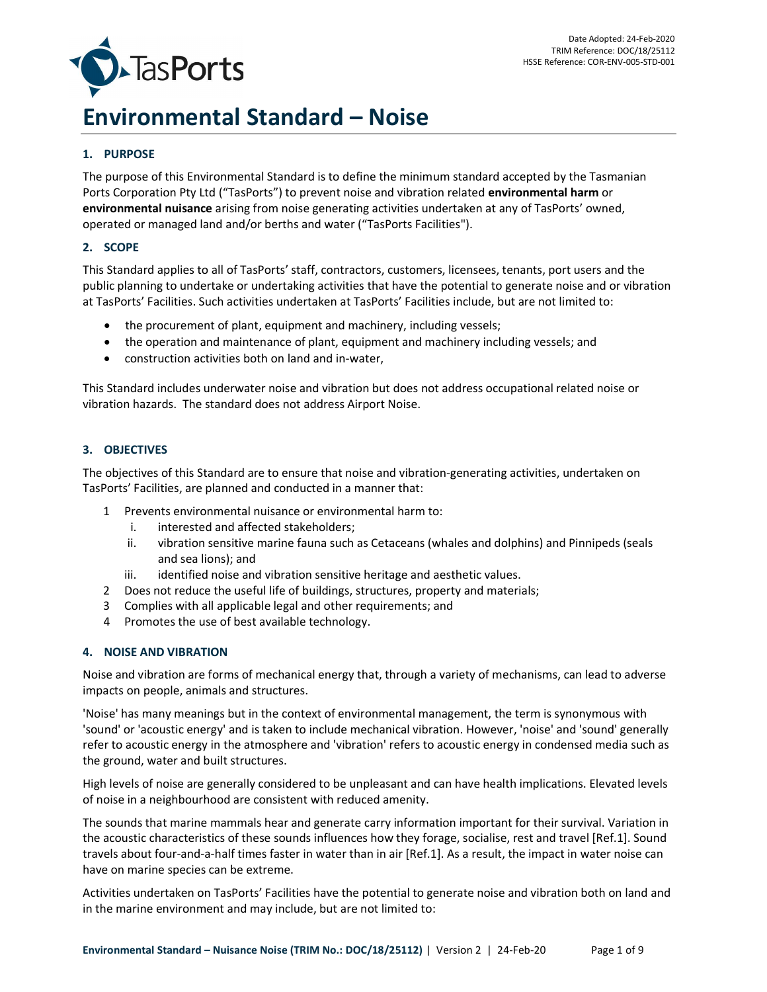

# Environmental Standard – Noise

# 1. PURPOSE

The purpose of this Environmental Standard is to define the minimum standard accepted by the Tasmanian Ports Corporation Pty Ltd ("TasPorts") to prevent noise and vibration related environmental harm or environmental nuisance arising from noise generating activities undertaken at any of TasPorts' owned, operated or managed land and/or berths and water ("TasPorts Facilities").

#### 2. SCOPE

This Standard applies to all of TasPorts' staff, contractors, customers, licensees, tenants, port users and the public planning to undertake or undertaking activities that have the potential to generate noise and or vibration at TasPorts' Facilities. Such activities undertaken at TasPorts' Facilities include, but are not limited to:

- the procurement of plant, equipment and machinery, including vessels;
- the operation and maintenance of plant, equipment and machinery including vessels; and
- construction activities both on land and in-water,

This Standard includes underwater noise and vibration but does not address occupational related noise or vibration hazards. The standard does not address Airport Noise.

#### 3. OBJECTIVES

The objectives of this Standard are to ensure that noise and vibration-generating activities, undertaken on TasPorts' Facilities, are planned and conducted in a manner that:

- 1 Prevents environmental nuisance or environmental harm to:
	- i. interested and affected stakeholders;
	- ii. vibration sensitive marine fauna such as Cetaceans (whales and dolphins) and Pinnipeds (seals and sea lions); and
	- iii. identified noise and vibration sensitive heritage and aesthetic values.
- 2 Does not reduce the useful life of buildings, structures, property and materials;
- 3 Complies with all applicable legal and other requirements; and
- 4 Promotes the use of best available technology.

#### 4. NOISE AND VIBRATION

Noise and vibration are forms of mechanical energy that, through a variety of mechanisms, can lead to adverse impacts on people, animals and structures.

'Noise' has many meanings but in the context of environmental management, the term is synonymous with 'sound' or 'acoustic energy' and is taken to include mechanical vibration. However, 'noise' and 'sound' generally refer to acoustic energy in the atmosphere and 'vibration' refers to acoustic energy in condensed media such as the ground, water and built structures.

High levels of noise are generally considered to be unpleasant and can have health implications. Elevated levels of noise in a neighbourhood are consistent with reduced amenity.

The sounds that marine mammals hear and generate carry information important for their survival. Variation in the acoustic characteristics of these sounds influences how they forage, socialise, rest and travel [Ref.1]. Sound travels about four-and-a-half times faster in water than in air [Ref.1]. As a result, the impact in water noise can have on marine species can be extreme.

Activities undertaken on TasPorts' Facilities have the potential to generate noise and vibration both on land and in the marine environment and may include, but are not limited to: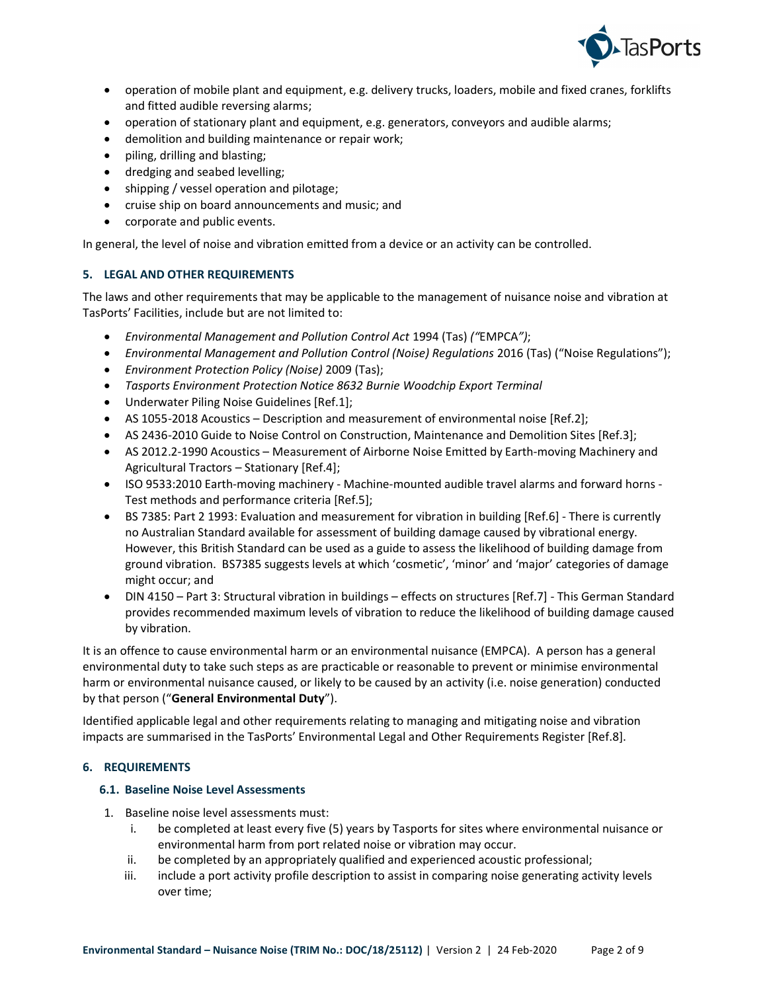

- operation of mobile plant and equipment, e.g. delivery trucks, loaders, mobile and fixed cranes, forklifts and fitted audible reversing alarms;
- operation of stationary plant and equipment, e.g. generators, conveyors and audible alarms;
- demolition and building maintenance or repair work;
- piling, drilling and blasting;
- dredging and seabed levelling;
- shipping / vessel operation and pilotage;
- cruise ship on board announcements and music; and
- corporate and public events.

In general, the level of noise and vibration emitted from a device or an activity can be controlled.

#### 5. LEGAL AND OTHER REQUIREMENTS

The laws and other requirements that may be applicable to the management of nuisance noise and vibration at TasPorts' Facilities, include but are not limited to:

- Environmental Management and Pollution Control Act 1994 (Tas) ("EMPCA");
- Environmental Management and Pollution Control (Noise) Regulations 2016 (Tas) ("Noise Regulations");
- Environment Protection Policy (Noise) 2009 (Tas);
- Tasports Environment Protection Notice 8632 Burnie Woodchip Export Terminal
- Underwater Piling Noise Guidelines [Ref.1];
- AS 1055-2018 Acoustics Description and measurement of environmental noise [Ref.2];
- AS 2436-2010 Guide to Noise Control on Construction, Maintenance and Demolition Sites [Ref.3];
- AS 2012.2-1990 Acoustics Measurement of Airborne Noise Emitted by Earth-moving Machinery and Agricultural Tractors – Stationary [Ref.4];
- ISO 9533:2010 Earth-moving machinery Machine-mounted audible travel alarms and forward horns -Test methods and performance criteria [Ref.5];
- BS 7385: Part 2 1993: Evaluation and measurement for vibration in building [Ref.6] There is currently no Australian Standard available for assessment of building damage caused by vibrational energy. However, this British Standard can be used as a guide to assess the likelihood of building damage from ground vibration. BS7385 suggests levels at which 'cosmetic', 'minor' and 'major' categories of damage might occur; and
- DIN 4150 Part 3: Structural vibration in buildings effects on structures [Ref.7] This German Standard provides recommended maximum levels of vibration to reduce the likelihood of building damage caused by vibration.

It is an offence to cause environmental harm or an environmental nuisance (EMPCA). A person has a general environmental duty to take such steps as are practicable or reasonable to prevent or minimise environmental harm or environmental nuisance caused, or likely to be caused by an activity (i.e. noise generation) conducted by that person ("General Environmental Duty").

Identified applicable legal and other requirements relating to managing and mitigating noise and vibration impacts are summarised in the TasPorts' Environmental Legal and Other Requirements Register [Ref.8].

#### 6. REQUIREMENTS

#### 6.1. Baseline Noise Level Assessments

- 1. Baseline noise level assessments must:
	- i. be completed at least every five (5) years by Tasports for sites where environmental nuisance or environmental harm from port related noise or vibration may occur.
	- ii. be completed by an appropriately qualified and experienced acoustic professional;
	- iii. include a port activity profile description to assist in comparing noise generating activity levels over time;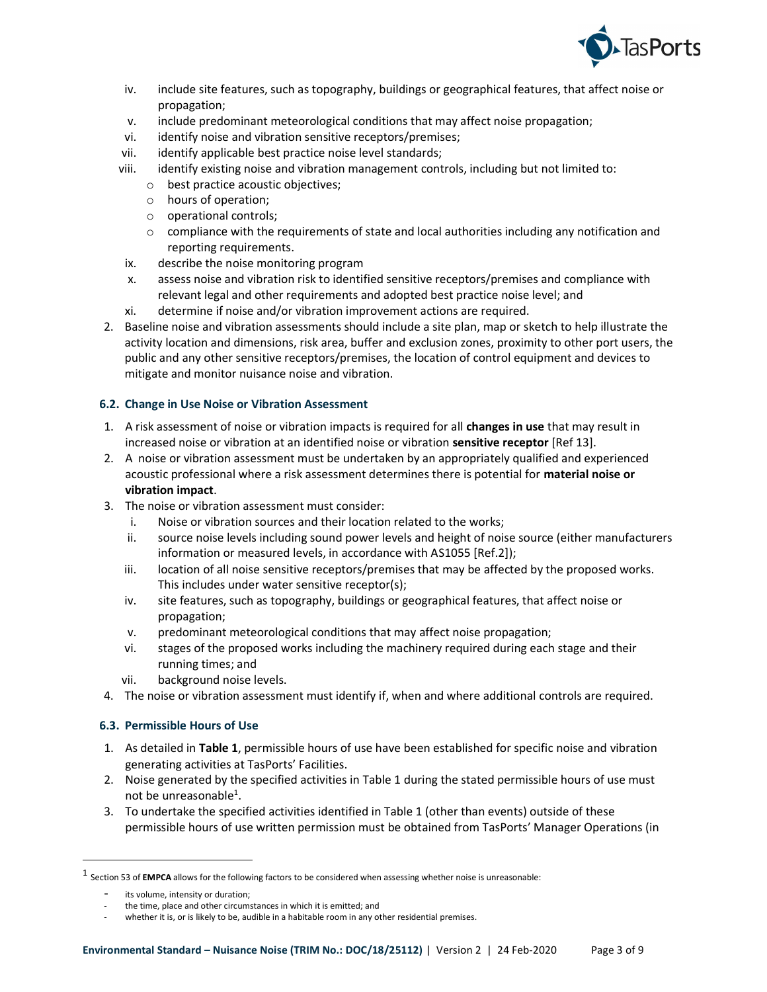

- iv. include site features, such as topography, buildings or geographical features, that affect noise or propagation;
- v. include predominant meteorological conditions that may affect noise propagation;
- vi. identify noise and vibration sensitive receptors/premises;
- vii. identify applicable best practice noise level standards;
- viii. identify existing noise and vibration management controls, including but not limited to:
	- o best practice acoustic objectives;
	- o hours of operation;
	- o operational controls;
	- $\circ$  compliance with the requirements of state and local authorities including any notification and reporting requirements.
- ix. describe the noise monitoring program
- x. assess noise and vibration risk to identified sensitive receptors/premises and compliance with relevant legal and other requirements and adopted best practice noise level; and
- xi. determine if noise and/or vibration improvement actions are required.
- 2. Baseline noise and vibration assessments should include a site plan, map or sketch to help illustrate the activity location and dimensions, risk area, buffer and exclusion zones, proximity to other port users, the public and any other sensitive receptors/premises, the location of control equipment and devices to mitigate and monitor nuisance noise and vibration.

# 6.2. Change in Use Noise or Vibration Assessment

- 1. A risk assessment of noise or vibration impacts is required for all changes in use that may result in increased noise or vibration at an identified noise or vibration sensitive receptor [Ref 13].
- 2. A noise or vibration assessment must be undertaken by an appropriately qualified and experienced acoustic professional where a risk assessment determines there is potential for material noise or vibration impact.
- 3. The noise or vibration assessment must consider:
	- i. Noise or vibration sources and their location related to the works;
	- ii. source noise levels including sound power levels and height of noise source (either manufacturers information or measured levels, in accordance with AS1055 [Ref.2]);
	- iii. location of all noise sensitive receptors/premises that may be affected by the proposed works. This includes under water sensitive receptor(s);
	- iv. site features, such as topography, buildings or geographical features, that affect noise or propagation;
	- v. predominant meteorological conditions that may affect noise propagation;
	- vi. stages of the proposed works including the machinery required during each stage and their running times; and
	- vii. background noise levels.
- 4. The noise or vibration assessment must identify if, when and where additional controls are required.

# 6.3. Permissible Hours of Use

- 1. As detailed in Table 1, permissible hours of use have been established for specific noise and vibration generating activities at TasPorts' Facilities.
- 2. Noise generated by the specified activities in Table 1 during the stated permissible hours of use must not be unreasonable<sup>1</sup>.
- 3. To undertake the specified activities identified in Table 1 (other than events) outside of these permissible hours of use written permission must be obtained from TasPorts' Manager Operations (in

ł

 $^1$  Section 53 of **EMPCA** allows for the following factors to be considered when assessing whether noise is unreasonable:

its volume, intensity or duration;

the time, place and other circumstances in which it is emitted; and

whether it is, or is likely to be, audible in a habitable room in any other residential premises.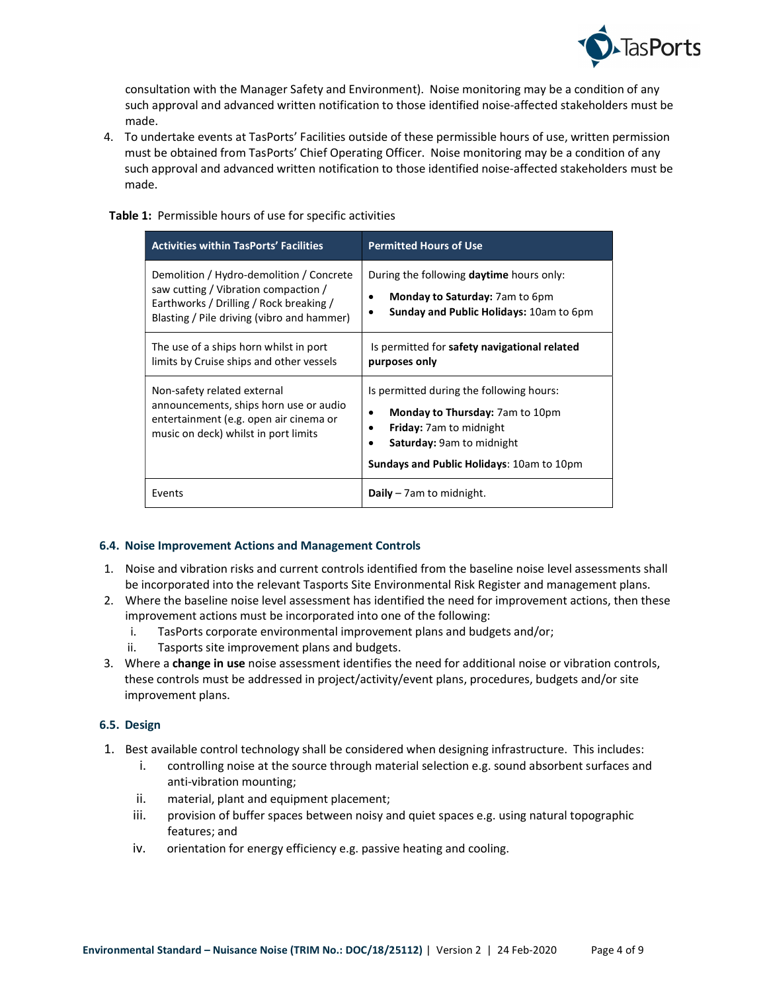

consultation with the Manager Safety and Environment). Noise monitoring may be a condition of any such approval and advanced written notification to those identified noise-affected stakeholders must be made.

4. To undertake events at TasPorts' Facilities outside of these permissible hours of use, written permission must be obtained from TasPorts' Chief Operating Officer. Noise monitoring may be a condition of any such approval and advanced written notification to those identified noise-affected stakeholders must be made.

#### Table 1: Permissible hours of use for specific activities

| <b>Activities within TasPorts' Facilities</b>                                                                                                                             | <b>Permitted Hours of Use</b>                                                                                                                                                                  |
|---------------------------------------------------------------------------------------------------------------------------------------------------------------------------|------------------------------------------------------------------------------------------------------------------------------------------------------------------------------------------------|
| Demolition / Hydro-demolition / Concrete<br>saw cutting / Vibration compaction /<br>Earthworks / Drilling / Rock breaking /<br>Blasting / Pile driving (vibro and hammer) | During the following <b>daytime</b> hours only:<br>Monday to Saturday: 7am to 6pm<br>Sunday and Public Holidays: 10am to 6pm                                                                   |
| The use of a ships horn whilst in port<br>limits by Cruise ships and other vessels                                                                                        | Is permitted for safety navigational related<br>purposes only                                                                                                                                  |
| Non-safety related external<br>announcements, ships horn use or audio<br>entertainment (e.g. open air cinema or<br>music on deck) whilst in port limits                   | Is permitted during the following hours:<br><b>Monday to Thursday: 7am to 10pm</b><br><b>Friday:</b> 7am to midnight<br>Saturday: 9am to midnight<br>Sundays and Public Holidays: 10am to 10pm |
| Events                                                                                                                                                                    | <b>Daily</b> $-$ 7 am to midnight.                                                                                                                                                             |

#### 6.4. Noise Improvement Actions and Management Controls

- 1. Noise and vibration risks and current controls identified from the baseline noise level assessments shall be incorporated into the relevant Tasports Site Environmental Risk Register and management plans.
- 2. Where the baseline noise level assessment has identified the need for improvement actions, then these improvement actions must be incorporated into one of the following:
	- i. TasPorts corporate environmental improvement plans and budgets and/or;
	- ii. Tasports site improvement plans and budgets.
- 3. Where a change in use noise assessment identifies the need for additional noise or vibration controls, these controls must be addressed in project/activity/event plans, procedures, budgets and/or site improvement plans.

## 6.5. Design

- 1. Best available control technology shall be considered when designing infrastructure. This includes:
	- i. controlling noise at the source through material selection e.g. sound absorbent surfaces and anti-vibration mounting;
	- ii. material, plant and equipment placement;
	- iii. provision of buffer spaces between noisy and quiet spaces e.g. using natural topographic features; and
	- iv. orientation for energy efficiency e.g. passive heating and cooling.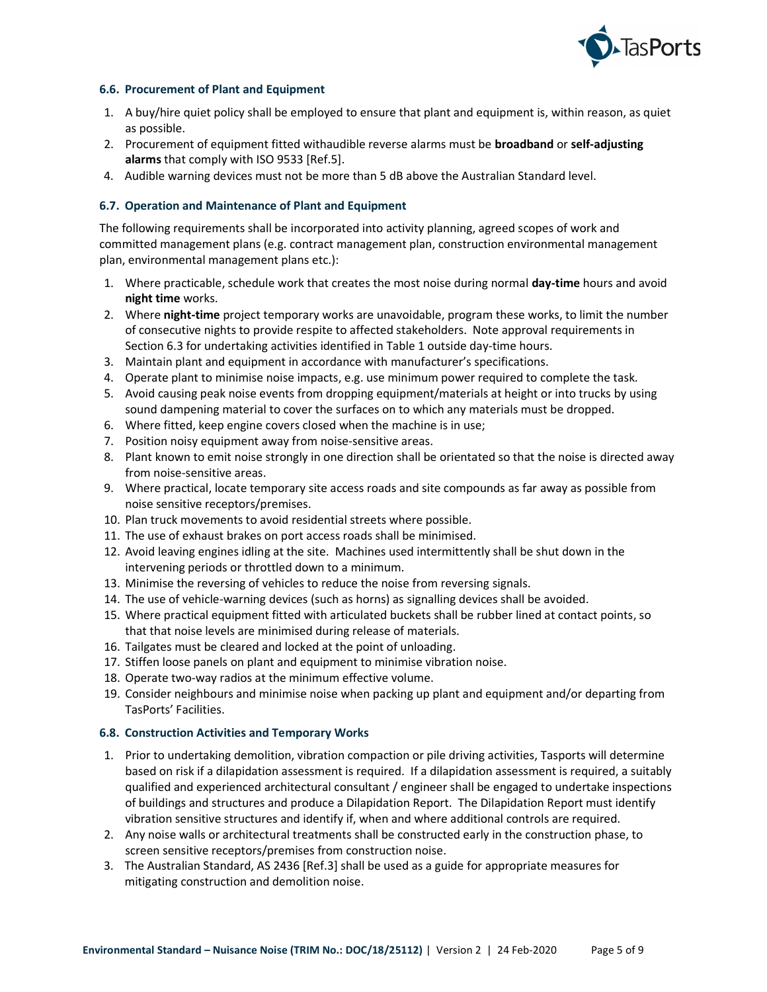

#### 6.6. Procurement of Plant and Equipment

- 1. A buy/hire quiet policy shall be employed to ensure that plant and equipment is, within reason, as quiet as possible.
- 2. Procurement of equipment fitted withaudible reverse alarms must be **broadband** or self-adjusting alarms that comply with ISO 9533 [Ref.5].
- 4. Audible warning devices must not be more than 5 dB above the Australian Standard level.

#### 6.7. Operation and Maintenance of Plant and Equipment

The following requirements shall be incorporated into activity planning, agreed scopes of work and committed management plans (e.g. contract management plan, construction environmental management plan, environmental management plans etc.):

- 1. Where practicable, schedule work that creates the most noise during normal day-time hours and avoid night time works.
- 2. Where night-time project temporary works are unavoidable, program these works, to limit the number of consecutive nights to provide respite to affected stakeholders. Note approval requirements in Section 6.3 for undertaking activities identified in Table 1 outside day-time hours.
- 3. Maintain plant and equipment in accordance with manufacturer's specifications.
- 4. Operate plant to minimise noise impacts, e.g. use minimum power required to complete the task.
- 5. Avoid causing peak noise events from dropping equipment/materials at height or into trucks by using sound dampening material to cover the surfaces on to which any materials must be dropped.
- 6. Where fitted, keep engine covers closed when the machine is in use;
- 7. Position noisy equipment away from noise-sensitive areas.
- 8. Plant known to emit noise strongly in one direction shall be orientated so that the noise is directed away from noise-sensitive areas.
- 9. Where practical, locate temporary site access roads and site compounds as far away as possible from noise sensitive receptors/premises.
- 10. Plan truck movements to avoid residential streets where possible.
- 11. The use of exhaust brakes on port access roads shall be minimised.
- 12. Avoid leaving engines idling at the site. Machines used intermittently shall be shut down in the intervening periods or throttled down to a minimum.
- 13. Minimise the reversing of vehicles to reduce the noise from reversing signals.
- 14. The use of vehicle-warning devices (such as horns) as signalling devices shall be avoided.
- 15. Where practical equipment fitted with articulated buckets shall be rubber lined at contact points, so that that noise levels are minimised during release of materials.
- 16. Tailgates must be cleared and locked at the point of unloading.
- 17. Stiffen loose panels on plant and equipment to minimise vibration noise.
- 18. Operate two-way radios at the minimum effective volume.
- 19. Consider neighbours and minimise noise when packing up plant and equipment and/or departing from TasPorts' Facilities.

#### 6.8. Construction Activities and Temporary Works

- 1. Prior to undertaking demolition, vibration compaction or pile driving activities, Tasports will determine based on risk if a dilapidation assessment is required. If a dilapidation assessment is required, a suitably qualified and experienced architectural consultant / engineer shall be engaged to undertake inspections of buildings and structures and produce a Dilapidation Report. The Dilapidation Report must identify vibration sensitive structures and identify if, when and where additional controls are required.
- 2. Any noise walls or architectural treatments shall be constructed early in the construction phase, to screen sensitive receptors/premises from construction noise.
- 3. The Australian Standard, AS 2436 [Ref.3] shall be used as a guide for appropriate measures for mitigating construction and demolition noise.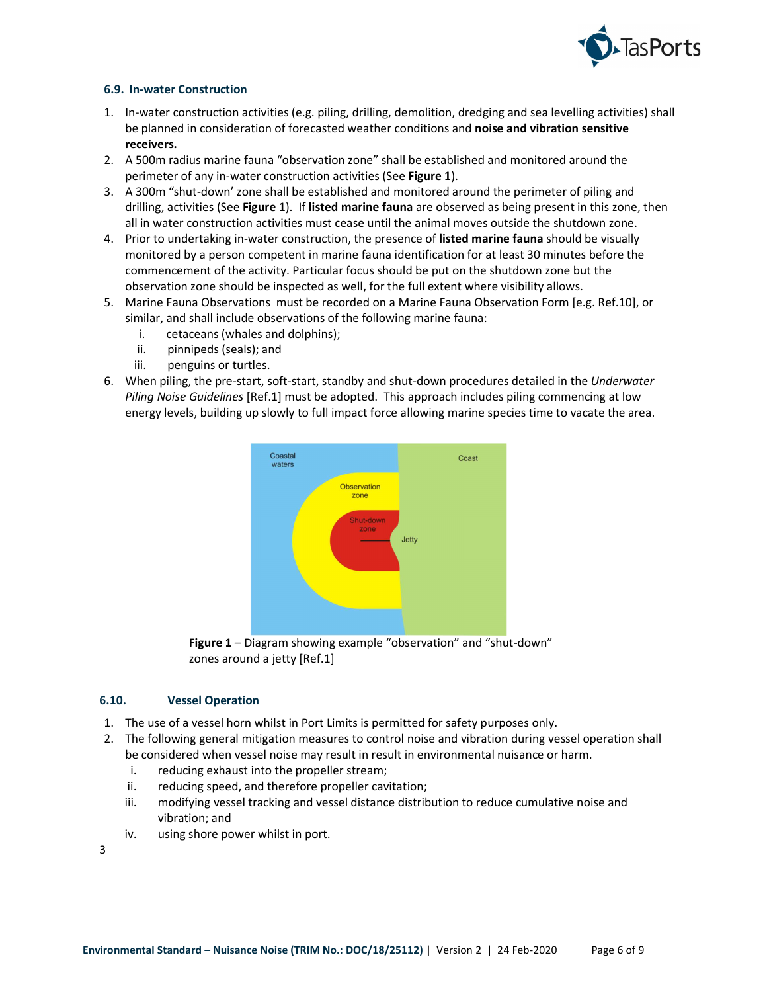

## 6.9. In-water Construction

- 1. In-water construction activities (e.g. piling, drilling, demolition, dredging and sea levelling activities) shall be planned in consideration of forecasted weather conditions and noise and vibration sensitive receivers.
- 2. A 500m radius marine fauna "observation zone" shall be established and monitored around the perimeter of any in-water construction activities (See Figure 1).
- 3. A 300m "shut-down' zone shall be established and monitored around the perimeter of piling and drilling, activities (See Figure 1). If listed marine fauna are observed as being present in this zone, then all in water construction activities must cease until the animal moves outside the shutdown zone.
- 4. Prior to undertaking in-water construction, the presence of listed marine fauna should be visually monitored by a person competent in marine fauna identification for at least 30 minutes before the commencement of the activity. Particular focus should be put on the shutdown zone but the observation zone should be inspected as well, for the full extent where visibility allows.
- 5. Marine Fauna Observations must be recorded on a Marine Fauna Observation Form [e.g. Ref.10], or similar, and shall include observations of the following marine fauna:
	- i. cetaceans (whales and dolphins);
	- ii. pinnipeds (seals); and
	- iii. penguins or turtles.
- 6. When piling, the pre-start, soft-start, standby and shut-down procedures detailed in the Underwater Piling Noise Guidelines [Ref.1] must be adopted. This approach includes piling commencing at low energy levels, building up slowly to full impact force allowing marine species time to vacate the area.



Figure 1 – Diagram showing example "observation" and "shut-down" zones around a jetty [Ref.1]

#### 6.10. Vessel Operation

- 1. The use of a vessel horn whilst in Port Limits is permitted for safety purposes only.
- 2. The following general mitigation measures to control noise and vibration during vessel operation shall be considered when vessel noise may result in result in environmental nuisance or harm.
	- i. reducing exhaust into the propeller stream;
	- ii. reducing speed, and therefore propeller cavitation;
	- iii. modifying vessel tracking and vessel distance distribution to reduce cumulative noise and vibration; and
	- iv. using shore power whilst in port.
- 3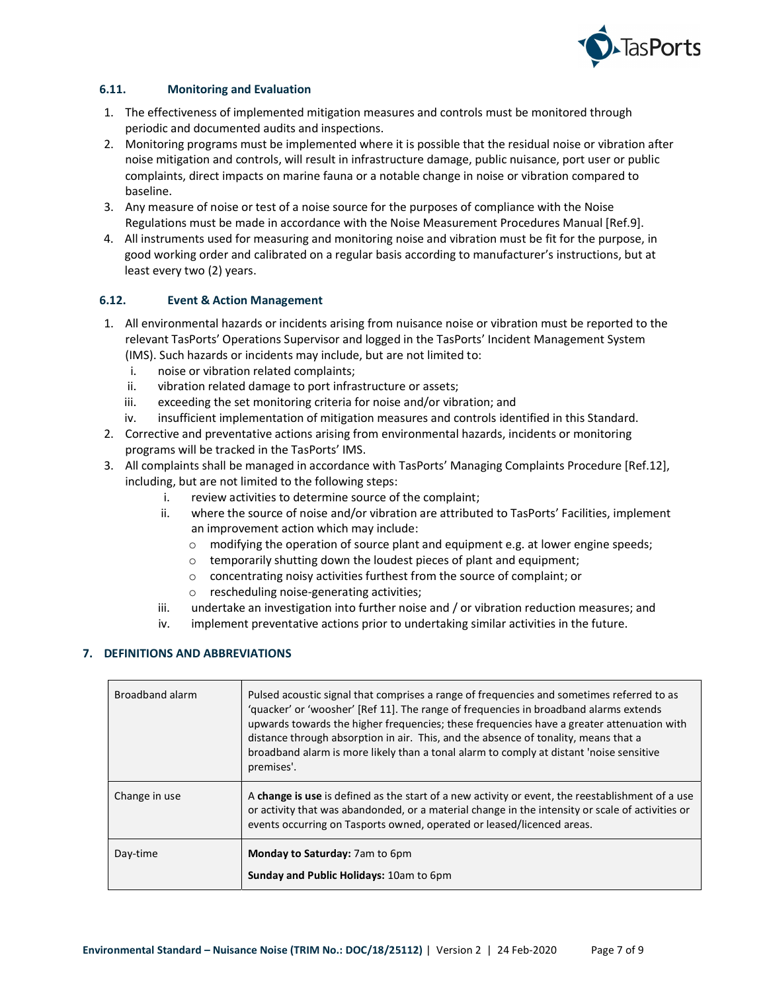

# 6.11. Monitoring and Evaluation

- 1. The effectiveness of implemented mitigation measures and controls must be monitored through periodic and documented audits and inspections.
- 2. Monitoring programs must be implemented where it is possible that the residual noise or vibration after noise mitigation and controls, will result in infrastructure damage, public nuisance, port user or public complaints, direct impacts on marine fauna or a notable change in noise or vibration compared to baseline.
- 3. Any measure of noise or test of a noise source for the purposes of compliance with the Noise Regulations must be made in accordance with the Noise Measurement Procedures Manual [Ref.9].
- 4. All instruments used for measuring and monitoring noise and vibration must be fit for the purpose, in good working order and calibrated on a regular basis according to manufacturer's instructions, but at least every two (2) years.

# 6.12. Event & Action Management

- 1. All environmental hazards or incidents arising from nuisance noise or vibration must be reported to the relevant TasPorts' Operations Supervisor and logged in the TasPorts' Incident Management System
	- (IMS). Such hazards or incidents may include, but are not limited to:
	- i. noise or vibration related complaints;
	- ii. vibration related damage to port infrastructure or assets;
	- iii. exceeding the set monitoring criteria for noise and/or vibration; and
	- iv. insufficient implementation of mitigation measures and controls identified in this Standard.
- 2. Corrective and preventative actions arising from environmental hazards, incidents or monitoring programs will be tracked in the TasPorts' IMS.
- 3. All complaints shall be managed in accordance with TasPorts' Managing Complaints Procedure [Ref.12], including, but are not limited to the following steps:
	- i. review activities to determine source of the complaint;
	- ii. where the source of noise and/or vibration are attributed to TasPorts' Facilities, implement an improvement action which may include:
		- $\circ$  modifying the operation of source plant and equipment e.g. at lower engine speeds;
		- o temporarily shutting down the loudest pieces of plant and equipment;
		- o concentrating noisy activities furthest from the source of complaint; or
		- o rescheduling noise-generating activities;
	- iii. undertake an investigation into further noise and / or vibration reduction measures; and
	- iv. implement preventative actions prior to undertaking similar activities in the future.

#### 7. DEFINITIONS AND ABBREVIATIONS

| Broadband alarm | Pulsed acoustic signal that comprises a range of frequencies and sometimes referred to as<br>'quacker' or 'woosher' [Ref 11]. The range of frequencies in broadband alarms extends<br>upwards towards the higher frequencies; these frequencies have a greater attenuation with<br>distance through absorption in air. This, and the absence of tonality, means that a<br>broadband alarm is more likely than a tonal alarm to comply at distant 'noise sensitive<br>premises'. |
|-----------------|---------------------------------------------------------------------------------------------------------------------------------------------------------------------------------------------------------------------------------------------------------------------------------------------------------------------------------------------------------------------------------------------------------------------------------------------------------------------------------|
| Change in use   | A change is use is defined as the start of a new activity or event, the reestablishment of a use<br>or activity that was abandonded, or a material change in the intensity or scale of activities or<br>events occurring on Tasports owned, operated or leased/licenced areas.                                                                                                                                                                                                  |
| Day-time        | Monday to Saturday: 7am to 6pm<br>Sunday and Public Holidays: 10am to 6pm                                                                                                                                                                                                                                                                                                                                                                                                       |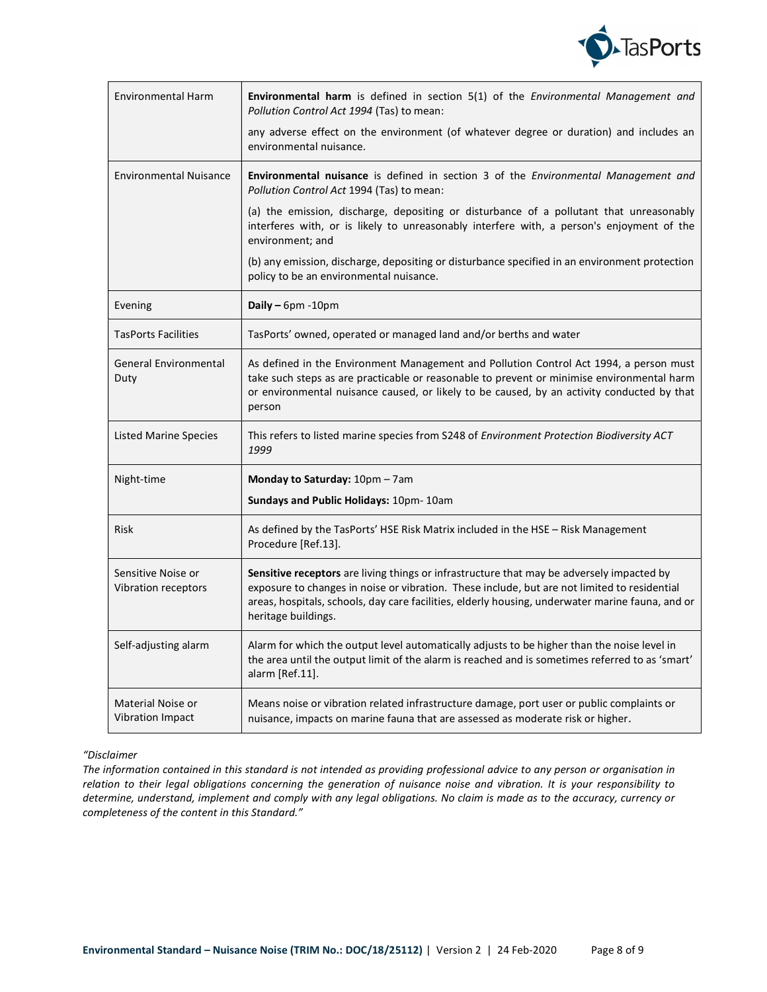

| <b>Environmental Harm</b>                    | Environmental harm is defined in section 5(1) of the Environmental Management and<br>Pollution Control Act 1994 (Tas) to mean:                                                                                                                                                                                       |
|----------------------------------------------|----------------------------------------------------------------------------------------------------------------------------------------------------------------------------------------------------------------------------------------------------------------------------------------------------------------------|
|                                              | any adverse effect on the environment (of whatever degree or duration) and includes an<br>environmental nuisance.                                                                                                                                                                                                    |
| <b>Environmental Nuisance</b>                | <b>Environmental nuisance</b> is defined in section 3 of the <i>Environmental Management and</i><br>Pollution Control Act 1994 (Tas) to mean:                                                                                                                                                                        |
|                                              | (a) the emission, discharge, depositing or disturbance of a pollutant that unreasonably<br>interferes with, or is likely to unreasonably interfere with, a person's enjoyment of the<br>environment; and                                                                                                             |
|                                              | (b) any emission, discharge, depositing or disturbance specified in an environment protection<br>policy to be an environmental nuisance.                                                                                                                                                                             |
| Evening                                      | Daily - 6pm - 10pm                                                                                                                                                                                                                                                                                                   |
| <b>TasPorts Facilities</b>                   | TasPorts' owned, operated or managed land and/or berths and water                                                                                                                                                                                                                                                    |
| <b>General Environmental</b><br>Duty         | As defined in the Environment Management and Pollution Control Act 1994, a person must<br>take such steps as are practicable or reasonable to prevent or minimise environmental harm<br>or environmental nuisance caused, or likely to be caused, by an activity conducted by that<br>person                         |
| <b>Listed Marine Species</b>                 | This refers to listed marine species from S248 of Environment Protection Biodiversity ACT<br>1999                                                                                                                                                                                                                    |
| Night-time                                   | Monday to Saturday: 10pm - 7am                                                                                                                                                                                                                                                                                       |
|                                              | Sundays and Public Holidays: 10pm- 10am                                                                                                                                                                                                                                                                              |
| Risk                                         | As defined by the TasPorts' HSE Risk Matrix included in the HSE - Risk Management<br>Procedure [Ref.13].                                                                                                                                                                                                             |
| Sensitive Noise or<br>Vibration receptors    | Sensitive receptors are living things or infrastructure that may be adversely impacted by<br>exposure to changes in noise or vibration. These include, but are not limited to residential<br>areas, hospitals, schools, day care facilities, elderly housing, underwater marine fauna, and or<br>heritage buildings. |
| Self-adjusting alarm                         | Alarm for which the output level automatically adjusts to be higher than the noise level in<br>the area until the output limit of the alarm is reached and is sometimes referred to as 'smart'<br>alarm [Ref.11].                                                                                                    |
| Material Noise or<br><b>Vibration Impact</b> | Means noise or vibration related infrastructure damage, port user or public complaints or<br>nuisance, impacts on marine fauna that are assessed as moderate risk or higher.                                                                                                                                         |

#### "Disclaimer

The information contained in this standard is not intended as providing professional advice to any person or organisation in relation to their legal obligations concerning the generation of nuisance noise and vibration. It is your responsibility to determine, understand, implement and comply with any legal obligations. No claim is made as to the accuracy, currency or completeness of the content in this Standard."